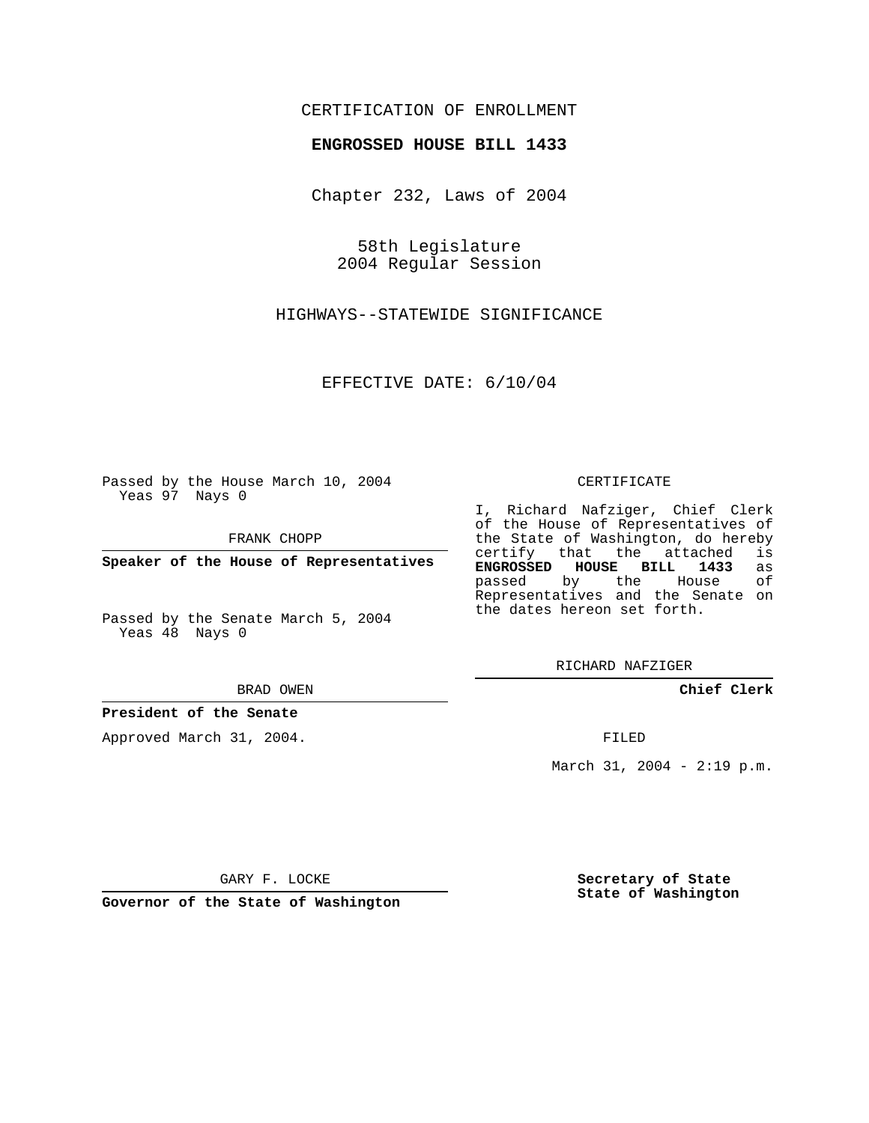## CERTIFICATION OF ENROLLMENT

### **ENGROSSED HOUSE BILL 1433**

Chapter 232, Laws of 2004

58th Legislature 2004 Regular Session

HIGHWAYS--STATEWIDE SIGNIFICANCE

EFFECTIVE DATE: 6/10/04

Passed by the House March 10, 2004 Yeas 97 Nays 0

FRANK CHOPP

**Speaker of the House of Representatives**

Passed by the Senate March 5, 2004 Yeas 48 Nays 0

#### BRAD OWEN

## **President of the Senate**

Approved March 31, 2004.

#### CERTIFICATE

I, Richard Nafziger, Chief Clerk of the House of Representatives of the State of Washington, do hereby<br>certify that the attached is certify that the attached **ENGROSSED HOUSE BILL 1433** as passed by the House Representatives and the Senate on the dates hereon set forth.

RICHARD NAFZIGER

**Chief Clerk**

FILED

March 31, 2004 - 2:19 p.m.

GARY F. LOCKE

**Governor of the State of Washington**

**Secretary of State State of Washington**